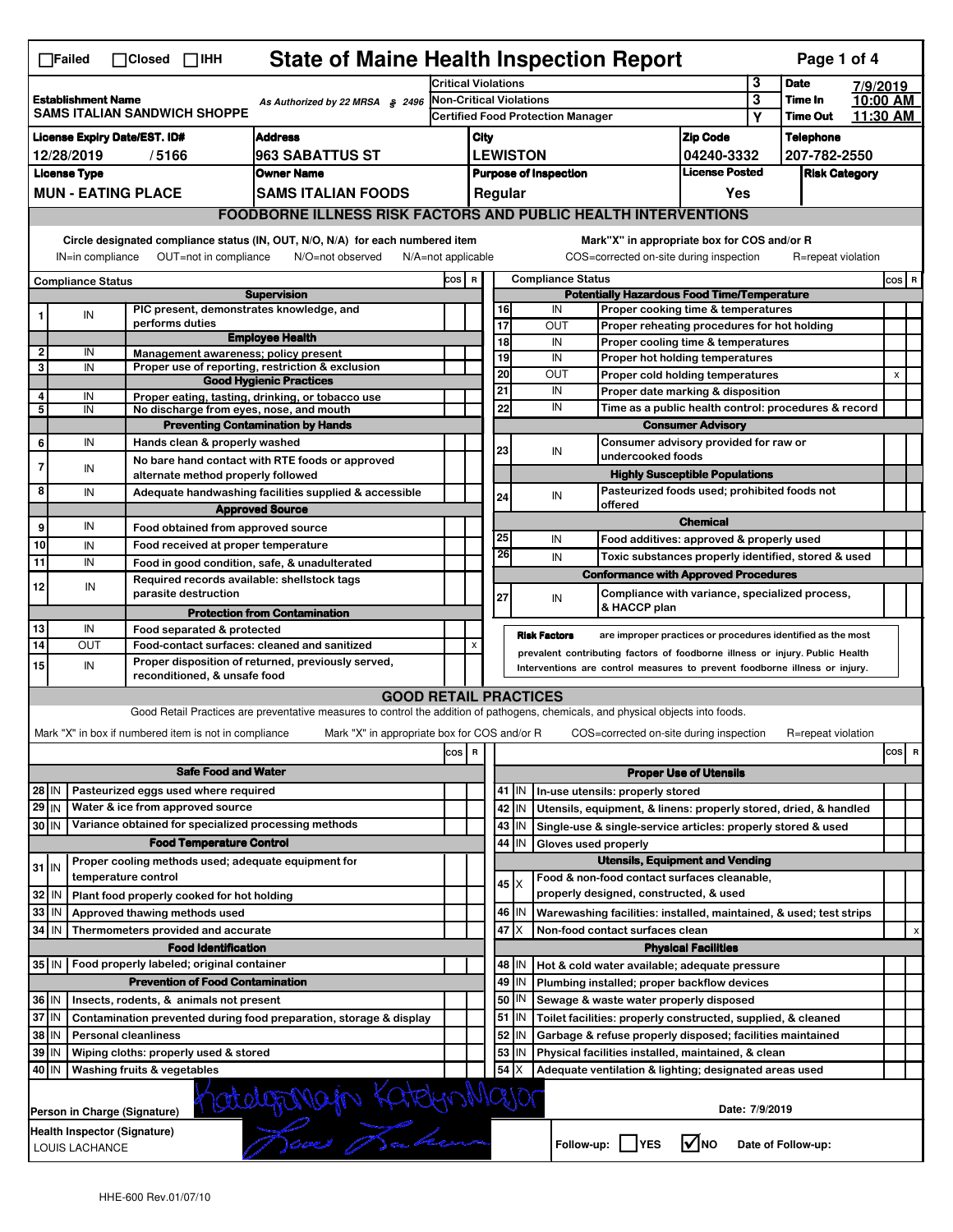| <b>State of Maine Health Inspection Report</b><br>Page 1 of 4<br>$\Box$ Failed<br>$\Box$ Closed $\Box$ IHH                                                                                                                                                                            |                                                                                                           |                                                       |                                                                                                                                   |                                                                            |                                                                                                      |                 |                                                                       |                                                                                                                                  |                                                                                           |             |                                  |                      |         |   |  |  |
|---------------------------------------------------------------------------------------------------------------------------------------------------------------------------------------------------------------------------------------------------------------------------------------|-----------------------------------------------------------------------------------------------------------|-------------------------------------------------------|-----------------------------------------------------------------------------------------------------------------------------------|----------------------------------------------------------------------------|------------------------------------------------------------------------------------------------------|-----------------|-----------------------------------------------------------------------|----------------------------------------------------------------------------------------------------------------------------------|-------------------------------------------------------------------------------------------|-------------|----------------------------------|----------------------|---------|---|--|--|
|                                                                                                                                                                                                                                                                                       |                                                                                                           |                                                       |                                                                                                                                   |                                                                            | Critical Violations                                                                                  |                 |                                                                       |                                                                                                                                  | 3                                                                                         | <b>Date</b> | 7/9/2019                         |                      |         |   |  |  |
| <b>Establishment Name</b><br>As Authorized by 22 MRSA § 2496<br>SAMS ITALIAN SANDWICH SHOPPE                                                                                                                                                                                          |                                                                                                           |                                                       |                                                                                                                                   |                                                                            | <b>Non-Critical Violations</b><br><b>Certified Food Protection Manager</b>                           |                 |                                                                       |                                                                                                                                  |                                                                                           | 3<br>Υ      | Time In<br><b>Time Out</b>       | 10:00 AM<br>11:30 AM |         |   |  |  |
|                                                                                                                                                                                                                                                                                       | <b>License Expiry Date/EST. ID#</b><br><b>Address</b>                                                     |                                                       |                                                                                                                                   |                                                                            |                                                                                                      |                 |                                                                       |                                                                                                                                  |                                                                                           |             |                                  |                      |         |   |  |  |
| 12/28/2019<br>/5166<br>963 SABATTUS ST                                                                                                                                                                                                                                                |                                                                                                           |                                                       |                                                                                                                                   |                                                                            | <b>Zip Code</b><br>City<br><b>LEWISTON</b><br>04240-3332                                             |                 |                                                                       |                                                                                                                                  |                                                                                           |             | <b>Telephone</b><br>207-782-2550 |                      |         |   |  |  |
| <b>License Type</b><br><b>Owner Name</b>                                                                                                                                                                                                                                              |                                                                                                           |                                                       |                                                                                                                                   |                                                                            | <b>License Posted</b><br><b>Purpose of Inspection</b>                                                |                 |                                                                       |                                                                                                                                  |                                                                                           |             |                                  | <b>Risk Category</b> |         |   |  |  |
|                                                                                                                                                                                                                                                                                       |                                                                                                           | <b>MUN - EATING PLACE</b>                             | <b>SAMS ITALIAN FOODS</b>                                                                                                         |                                                                            | Regular<br>Yes                                                                                       |                 |                                                                       |                                                                                                                                  |                                                                                           |             |                                  |                      |         |   |  |  |
|                                                                                                                                                                                                                                                                                       |                                                                                                           |                                                       |                                                                                                                                   |                                                                            |                                                                                                      |                 | <b>FOODBORNE ILLNESS RISK FACTORS AND PUBLIC HEALTH INTERVENTIONS</b> |                                                                                                                                  |                                                                                           |             |                                  |                      |         |   |  |  |
|                                                                                                                                                                                                                                                                                       |                                                                                                           |                                                       |                                                                                                                                   |                                                                            |                                                                                                      |                 |                                                                       |                                                                                                                                  |                                                                                           |             |                                  |                      |         |   |  |  |
| Circle designated compliance status (IN, OUT, N/O, N/A) for each numbered item<br>Mark"X" in appropriate box for COS and/or R<br>IN=in compliance<br>OUT=not in compliance<br>N/O=not observed<br>N/A=not applicable<br>COS=corrected on-site during inspection<br>R=repeat violation |                                                                                                           |                                                       |                                                                                                                                   |                                                                            |                                                                                                      |                 |                                                                       |                                                                                                                                  |                                                                                           |             |                                  |                      |         |   |  |  |
| <b>Compliance Status</b>                                                                                                                                                                                                                                                              |                                                                                                           |                                                       |                                                                                                                                   |                                                                            | <b>Compliance Status</b><br>COS R                                                                    |                 |                                                                       |                                                                                                                                  |                                                                                           |             |                                  |                      | $cos$ R |   |  |  |
| <b>Supervision</b><br>PIC present, demonstrates knowledge, and                                                                                                                                                                                                                        |                                                                                                           |                                                       |                                                                                                                                   |                                                                            | <b>Potentially Hazardous Food Time/Temperature</b><br>16<br>IN<br>Proper cooking time & temperatures |                 |                                                                       |                                                                                                                                  |                                                                                           |             |                                  |                      |         |   |  |  |
| 1                                                                                                                                                                                                                                                                                     | IN                                                                                                        | performs duties                                       |                                                                                                                                   |                                                                            |                                                                                                      | 17              |                                                                       | OUT                                                                                                                              | Proper reheating procedures for hot holding                                               |             |                                  |                      |         |   |  |  |
| 2                                                                                                                                                                                                                                                                                     | IN                                                                                                        |                                                       | <b>Employee Health</b>                                                                                                            |                                                                            |                                                                                                      | 18              |                                                                       | IN                                                                                                                               | Proper cooling time & temperatures                                                        |             |                                  |                      |         |   |  |  |
| 3                                                                                                                                                                                                                                                                                     | IN                                                                                                        |                                                       | Management awareness; policy present<br>Proper use of reporting, restriction & exclusion                                          |                                                                            |                                                                                                      | 19              |                                                                       | IN                                                                                                                               | Proper hot holding temperatures                                                           |             |                                  |                      |         |   |  |  |
|                                                                                                                                                                                                                                                                                       |                                                                                                           |                                                       | <b>Good Hygienic Practices</b>                                                                                                    |                                                                            |                                                                                                      | 20              |                                                                       | <b>OUT</b>                                                                                                                       | Proper cold holding temperatures                                                          |             |                                  |                      | X       |   |  |  |
| 4                                                                                                                                                                                                                                                                                     | IN                                                                                                        |                                                       | Proper eating, tasting, drinking, or tobacco use                                                                                  |                                                                            |                                                                                                      | 21<br>22        |                                                                       | IN<br>IN                                                                                                                         | Proper date marking & disposition<br>Time as a public health control: procedures & record |             |                                  |                      |         |   |  |  |
| 5                                                                                                                                                                                                                                                                                     | IN                                                                                                        |                                                       | No discharge from eyes, nose, and mouth                                                                                           |                                                                            |                                                                                                      |                 |                                                                       |                                                                                                                                  |                                                                                           |             |                                  |                      |         |   |  |  |
| 6                                                                                                                                                                                                                                                                                     | IN                                                                                                        | Hands clean & properly washed                         | <b>Preventing Contamination by Hands</b>                                                                                          |                                                                            |                                                                                                      |                 |                                                                       | <b>Consumer Advisory</b>                                                                                                         |                                                                                           |             |                                  |                      |         |   |  |  |
|                                                                                                                                                                                                                                                                                       |                                                                                                           |                                                       | No bare hand contact with RTE foods or approved                                                                                   |                                                                            |                                                                                                      | 23              |                                                                       | IN                                                                                                                               | Consumer advisory provided for raw or<br>undercooked foods                                |             |                                  |                      |         |   |  |  |
| 7                                                                                                                                                                                                                                                                                     | IN                                                                                                        | alternate method properly followed                    |                                                                                                                                   |                                                                            |                                                                                                      |                 |                                                                       |                                                                                                                                  | <b>Highly Susceptible Populations</b>                                                     |             |                                  |                      |         |   |  |  |
| 8                                                                                                                                                                                                                                                                                     | IN                                                                                                        |                                                       | Adequate handwashing facilities supplied & accessible                                                                             |                                                                            |                                                                                                      | 24              |                                                                       | IN                                                                                                                               | Pasteurized foods used; prohibited foods not                                              |             |                                  |                      |         |   |  |  |
|                                                                                                                                                                                                                                                                                       |                                                                                                           |                                                       | <b>Approved Source</b>                                                                                                            |                                                                            |                                                                                                      |                 |                                                                       | offered                                                                                                                          |                                                                                           |             |                                  |                      |         |   |  |  |
| 9                                                                                                                                                                                                                                                                                     | IN                                                                                                        | Food obtained from approved source                    |                                                                                                                                   |                                                                            |                                                                                                      |                 |                                                                       |                                                                                                                                  | <b>Chemical</b>                                                                           |             |                                  |                      |         |   |  |  |
| 10                                                                                                                                                                                                                                                                                    | IN                                                                                                        | Food received at proper temperature                   |                                                                                                                                   |                                                                            |                                                                                                      | 25              |                                                                       | IN                                                                                                                               | Food additives: approved & properly used                                                  |             |                                  |                      |         |   |  |  |
| 11                                                                                                                                                                                                                                                                                    | IN                                                                                                        |                                                       | Food in good condition, safe, & unadulterated                                                                                     |                                                                            |                                                                                                      | 26              |                                                                       | IN                                                                                                                               | Toxic substances properly identified, stored & used                                       |             |                                  |                      |         |   |  |  |
| 12                                                                                                                                                                                                                                                                                    | IN                                                                                                        |                                                       | Required records available: shellstock tags                                                                                       |                                                                            |                                                                                                      |                 |                                                                       |                                                                                                                                  | <b>Conformance with Approved Procedures</b>                                               |             |                                  |                      |         |   |  |  |
|                                                                                                                                                                                                                                                                                       |                                                                                                           | parasite destruction                                  |                                                                                                                                   |                                                                            |                                                                                                      | 27              |                                                                       | IN                                                                                                                               | Compliance with variance, specialized process,                                            |             |                                  |                      |         |   |  |  |
|                                                                                                                                                                                                                                                                                       |                                                                                                           |                                                       | <b>Protection from Contamination</b>                                                                                              |                                                                            |                                                                                                      |                 |                                                                       | & HACCP plan                                                                                                                     |                                                                                           |             |                                  |                      |         |   |  |  |
| 13<br>14                                                                                                                                                                                                                                                                              | IN                                                                                                        | Food separated & protected                            |                                                                                                                                   |                                                                            |                                                                                                      |                 |                                                                       | <b>Risk Factors</b>                                                                                                              | are improper practices or procedures identified as the most                               |             |                                  |                      |         |   |  |  |
|                                                                                                                                                                                                                                                                                       | OUT                                                                                                       |                                                       | Food-contact surfaces: cleaned and sanitized<br>Proper disposition of returned, previously served,                                |                                                                            | X<br>prevalent contributing factors of foodborne illness or injury. Public Health                    |                 |                                                                       |                                                                                                                                  |                                                                                           |             |                                  |                      |         |   |  |  |
| 15 <sup>1</sup>                                                                                                                                                                                                                                                                       | IN                                                                                                        | reconditioned, & unsafe food                          |                                                                                                                                   | Interventions are control measures to prevent foodborne illness or injury. |                                                                                                      |                 |                                                                       |                                                                                                                                  |                                                                                           |             |                                  |                      |         |   |  |  |
|                                                                                                                                                                                                                                                                                       |                                                                                                           |                                                       | <b>GOOD RETAIL PRACTICES</b>                                                                                                      |                                                                            |                                                                                                      |                 |                                                                       |                                                                                                                                  |                                                                                           |             |                                  |                      |         |   |  |  |
|                                                                                                                                                                                                                                                                                       |                                                                                                           |                                                       | Good Retail Practices are preventative measures to control the addition of pathogens, chemicals, and physical objects into foods. |                                                                            |                                                                                                      |                 |                                                                       |                                                                                                                                  |                                                                                           |             |                                  |                      |         |   |  |  |
|                                                                                                                                                                                                                                                                                       |                                                                                                           | Mark "X" in box if numbered item is not in compliance | Mark "X" in appropriate box for COS and/or R                                                                                      |                                                                            |                                                                                                      |                 |                                                                       | COS=corrected on-site during inspection                                                                                          |                                                                                           |             | R=repeat violation               |                      |         |   |  |  |
|                                                                                                                                                                                                                                                                                       |                                                                                                           |                                                       |                                                                                                                                   | cos R                                                                      |                                                                                                      |                 |                                                                       |                                                                                                                                  |                                                                                           |             |                                  |                      | cos     | R |  |  |
|                                                                                                                                                                                                                                                                                       |                                                                                                           | <b>Safe Food and Water</b>                            |                                                                                                                                   |                                                                            |                                                                                                      |                 |                                                                       | <b>Proper Use of Utensils</b>                                                                                                    |                                                                                           |             |                                  |                      |         |   |  |  |
| 28 IN                                                                                                                                                                                                                                                                                 |                                                                                                           | Pasteurized eggs used where required                  |                                                                                                                                   |                                                                            |                                                                                                      |                 |                                                                       | 41   IN   In-use utensils: properly stored                                                                                       |                                                                                           |             |                                  |                      |         |   |  |  |
| 29 IN                                                                                                                                                                                                                                                                                 |                                                                                                           | Water & ice from approved source                      |                                                                                                                                   |                                                                            |                                                                                                      |                 | 42   IN                                                               |                                                                                                                                  |                                                                                           |             |                                  |                      |         |   |  |  |
| 30 IN                                                                                                                                                                                                                                                                                 |                                                                                                           | Variance obtained for specialized processing methods  |                                                                                                                                   |                                                                            |                                                                                                      |                 | 43 IN                                                                 | Utensils, equipment, & linens: properly stored, dried, & handled<br>Single-use & single-service articles: properly stored & used |                                                                                           |             |                                  |                      |         |   |  |  |
|                                                                                                                                                                                                                                                                                       |                                                                                                           | <b>Food Temperature Control</b>                       |                                                                                                                                   |                                                                            |                                                                                                      |                 | 44<br>IN                                                              | Gloves used properly                                                                                                             |                                                                                           |             |                                  |                      |         |   |  |  |
|                                                                                                                                                                                                                                                                                       |                                                                                                           | Proper cooling methods used; adequate equipment for   |                                                                                                                                   |                                                                            |                                                                                                      |                 |                                                                       |                                                                                                                                  | <b>Utensils, Equipment and Vending</b>                                                    |             |                                  |                      |         |   |  |  |
| $31$ IN                                                                                                                                                                                                                                                                               |                                                                                                           | temperature control                                   |                                                                                                                                   |                                                                            |                                                                                                      |                 |                                                                       | Food & non-food contact surfaces cleanable.                                                                                      |                                                                                           |             |                                  |                      |         |   |  |  |
| 32 IN                                                                                                                                                                                                                                                                                 |                                                                                                           | Plant food properly cooked for hot holding            |                                                                                                                                   |                                                                            |                                                                                                      |                 | $45$ $\times$                                                         | properly designed, constructed, & used                                                                                           |                                                                                           |             |                                  |                      |         |   |  |  |
| 33   IN                                                                                                                                                                                                                                                                               |                                                                                                           | Approved thawing methods used                         |                                                                                                                                   |                                                                            |                                                                                                      |                 | 46   IN                                                               | Warewashing facilities: installed, maintained, & used; test strips                                                               |                                                                                           |             |                                  |                      |         |   |  |  |
| 34 IN                                                                                                                                                                                                                                                                                 |                                                                                                           | Thermometers provided and accurate                    |                                                                                                                                   |                                                                            |                                                                                                      | 47              | ΙX                                                                    | Non-food contact surfaces clean                                                                                                  |                                                                                           |             |                                  |                      |         |   |  |  |
|                                                                                                                                                                                                                                                                                       |                                                                                                           | <b>Food Identification</b>                            |                                                                                                                                   |                                                                            |                                                                                                      |                 |                                                                       |                                                                                                                                  | <b>Physical Facilities</b>                                                                |             |                                  |                      |         | х |  |  |
|                                                                                                                                                                                                                                                                                       |                                                                                                           | 35 IN   Food properly labeled; original container     |                                                                                                                                   |                                                                            | 48   IN<br>Hot & cold water available; adequate pressure                                             |                 |                                                                       |                                                                                                                                  |                                                                                           |             |                                  |                      |         |   |  |  |
|                                                                                                                                                                                                                                                                                       |                                                                                                           | <b>Prevention of Food Contamination</b>               |                                                                                                                                   |                                                                            |                                                                                                      |                 | 49 IN                                                                 | Plumbing installed; proper backflow devices                                                                                      |                                                                                           |             |                                  |                      |         |   |  |  |
| 36 IN                                                                                                                                                                                                                                                                                 |                                                                                                           | Insects, rodents, & animals not present               |                                                                                                                                   |                                                                            |                                                                                                      | 50 <sub>2</sub> | IN                                                                    | Sewage & waste water properly disposed                                                                                           |                                                                                           |             |                                  |                      |         |   |  |  |
| 37 IN                                                                                                                                                                                                                                                                                 |                                                                                                           |                                                       | Contamination prevented during food preparation, storage & display                                                                |                                                                            |                                                                                                      |                 | 51 J IN                                                               | Toilet facilities: properly constructed, supplied, & cleaned                                                                     |                                                                                           |             |                                  |                      |         |   |  |  |
| 38   IN                                                                                                                                                                                                                                                                               |                                                                                                           | <b>Personal cleanliness</b>                           |                                                                                                                                   |                                                                            |                                                                                                      | 52              | IN.                                                                   | Garbage & refuse properly disposed; facilities maintained                                                                        |                                                                                           |             |                                  |                      |         |   |  |  |
| 39 IN                                                                                                                                                                                                                                                                                 |                                                                                                           | Wiping cloths: properly used & stored                 |                                                                                                                                   |                                                                            |                                                                                                      | 53              | IN                                                                    | Physical facilities installed, maintained, & clean                                                                               |                                                                                           |             |                                  |                      |         |   |  |  |
|                                                                                                                                                                                                                                                                                       | 40 IN<br>54<br>Х<br>Washing fruits & vegetables<br>Adequate ventilation & lighting; designated areas used |                                                       |                                                                                                                                   |                                                                            |                                                                                                      |                 |                                                                       |                                                                                                                                  |                                                                                           |             |                                  |                      |         |   |  |  |
| Katelyronagin Katelyn Major<br>Date: 7/9/2019<br>Person in Charge (Signature)                                                                                                                                                                                                         |                                                                                                           |                                                       |                                                                                                                                   |                                                                            |                                                                                                      |                 |                                                                       |                                                                                                                                  |                                                                                           |             |                                  |                      |         |   |  |  |
|                                                                                                                                                                                                                                                                                       | Health Inspector (Signature)<br>Follow-up: YES<br>$\sqrt{\ }$ NO<br>Date of Follow-up:<br>LOUIS LACHANCE  |                                                       |                                                                                                                                   |                                                                            |                                                                                                      |                 |                                                                       |                                                                                                                                  |                                                                                           |             |                                  |                      |         |   |  |  |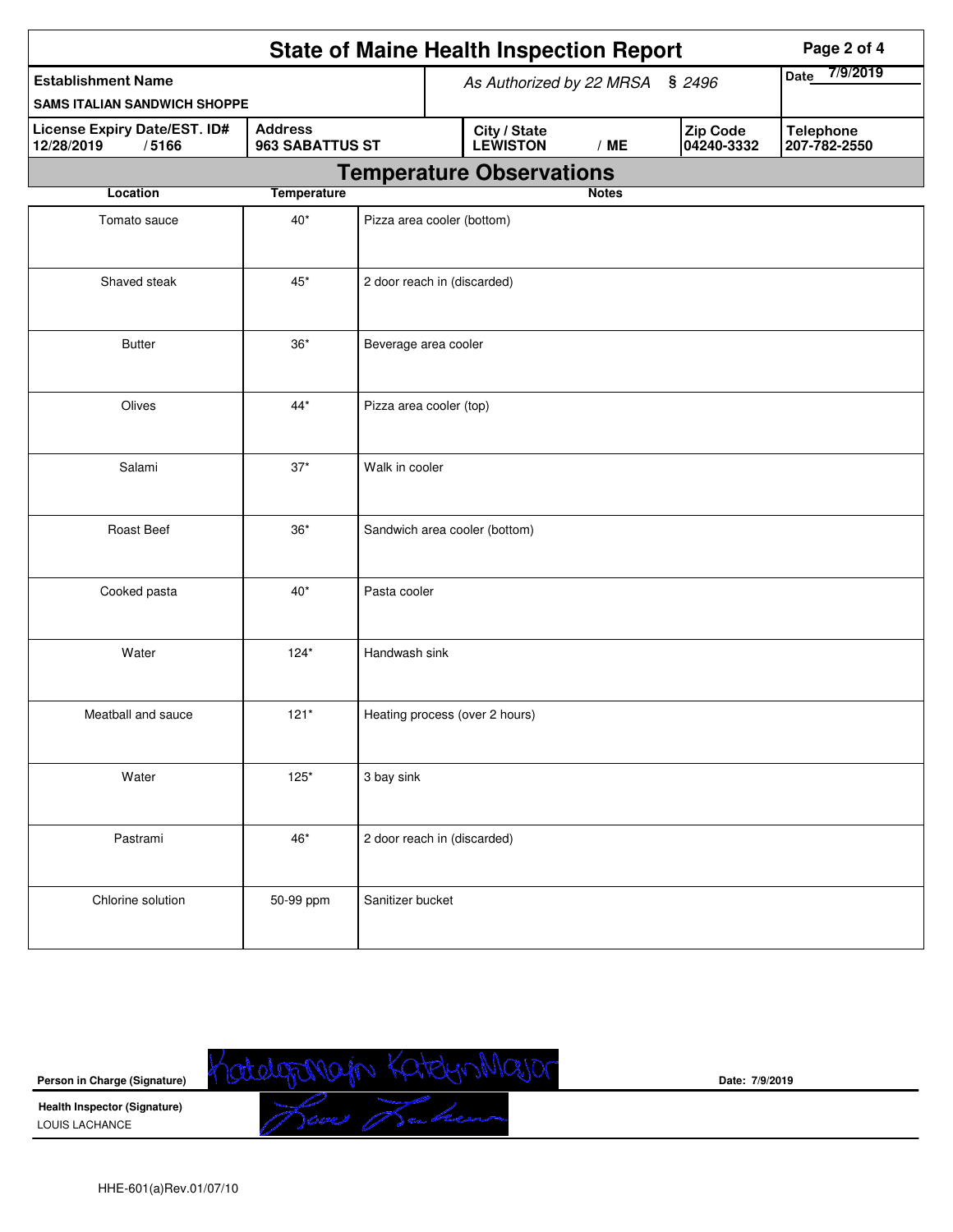| <b>State of Maine Health Inspection Report</b><br>Page 2 of 4 |                                   |                             |                             |                                 |              |                        |                                  |  |  |  |
|---------------------------------------------------------------|-----------------------------------|-----------------------------|-----------------------------|---------------------------------|--------------|------------------------|----------------------------------|--|--|--|
| <b>Establishment Name</b>                                     |                                   |                             |                             | As Authorized by 22 MRSA § 2496 |              |                        | 7/9/2019<br><b>Date</b>          |  |  |  |
| <b>SAMS ITALIAN SANDWICH SHOPPE</b>                           |                                   |                             |                             |                                 |              |                        |                                  |  |  |  |
| License Expiry Date/EST. ID#<br>12/28/2019<br>/5166           | <b>Address</b><br>963 SABATTUS ST |                             |                             | City / State<br><b>LEWISTON</b> | /ME          | Zip Code<br>04240-3332 | <b>Telephone</b><br>207-782-2550 |  |  |  |
|                                                               |                                   |                             |                             | <b>Temperature Observations</b> |              |                        |                                  |  |  |  |
| Location                                                      | <b>Temperature</b>                |                             |                             |                                 | <b>Notes</b> |                        |                                  |  |  |  |
| Tomato sauce                                                  |                                   | Pizza area cooler (bottom)  |                             |                                 |              |                        |                                  |  |  |  |
| Shaved steak                                                  | $45^{\ast}$                       |                             | 2 door reach in (discarded) |                                 |              |                        |                                  |  |  |  |
| <b>Butter</b>                                                 | $36*$                             | Beverage area cooler        |                             |                                 |              |                        |                                  |  |  |  |
| Olives                                                        | $44*$                             | Pizza area cooler (top)     |                             |                                 |              |                        |                                  |  |  |  |
| Salami                                                        | $37*$                             | Walk in cooler              |                             |                                 |              |                        |                                  |  |  |  |
| Roast Beef<br>$36*$                                           |                                   |                             |                             | Sandwich area cooler (bottom)   |              |                        |                                  |  |  |  |
| Cooked pasta                                                  | $40*$                             | Pasta cooler                |                             |                                 |              |                        |                                  |  |  |  |
| Water                                                         | $124*$                            | Handwash sink               |                             |                                 |              |                        |                                  |  |  |  |
| Meatball and sauce                                            | $121*$                            |                             |                             | Heating process (over 2 hours)  |              |                        |                                  |  |  |  |
| Water                                                         | $125*$                            | 3 bay sink                  |                             |                                 |              |                        |                                  |  |  |  |
| Pastrami                                                      | 46*                               | 2 door reach in (discarded) |                             |                                 |              |                        |                                  |  |  |  |
| Chlorine solution                                             | 50-99 ppm                         | Sanitizer bucket            |                             |                                 |              |                        |                                  |  |  |  |



**Date: 7/9/2019**

HHE-601(a)Rev.01/07/10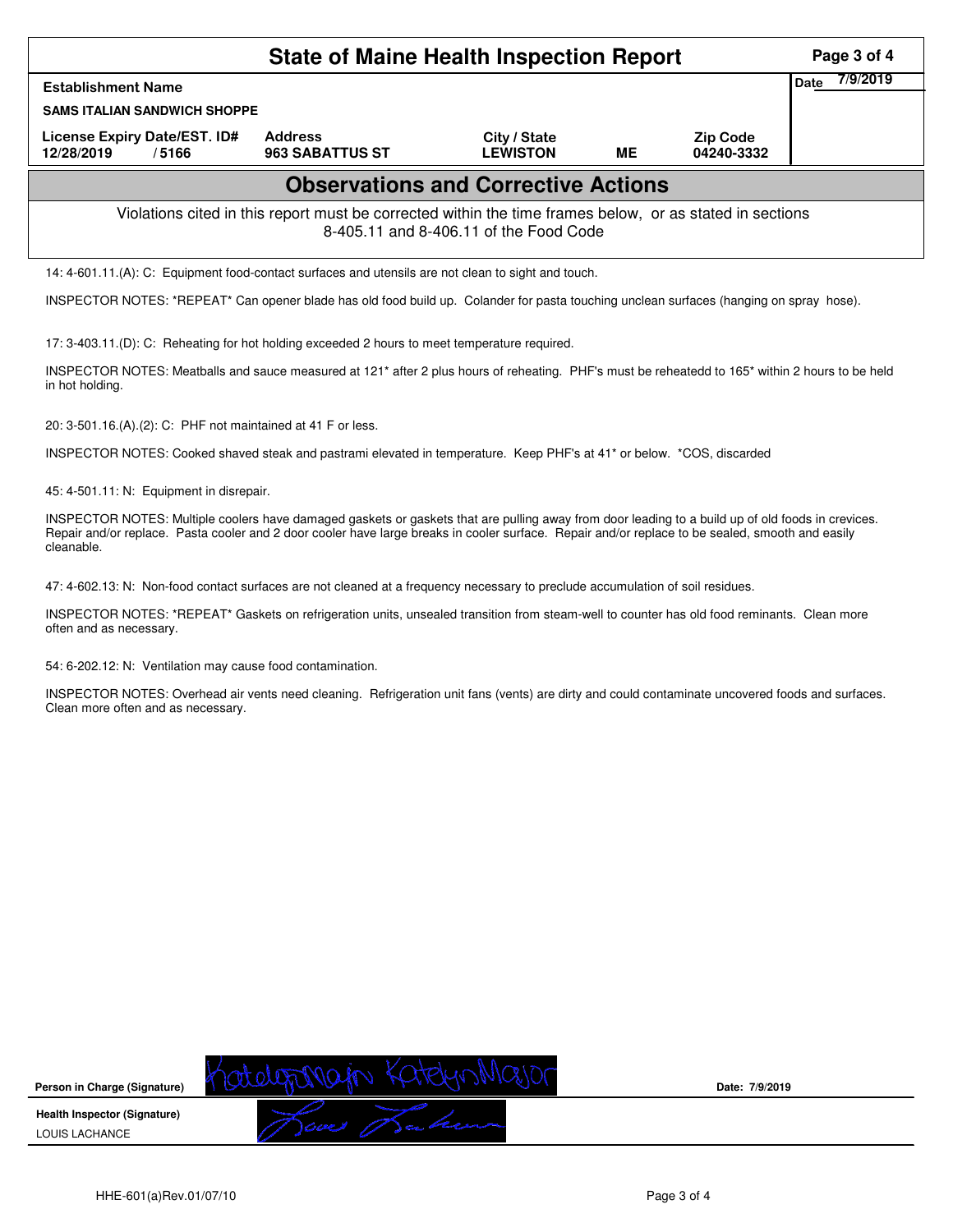|                                                                                                                                                    | Page 3 of 4                              |                                 |    |                               |      |          |  |  |  |
|----------------------------------------------------------------------------------------------------------------------------------------------------|------------------------------------------|---------------------------------|----|-------------------------------|------|----------|--|--|--|
| <b>Establishment Name</b>                                                                                                                          |                                          |                                 |    |                               | Date | 7/9/2019 |  |  |  |
| <b>SAMS ITALIAN SANDWICH SHOPPE</b>                                                                                                                |                                          |                                 |    |                               |      |          |  |  |  |
| License Expiry Date/EST. ID#<br>12/28/2019<br>/5166                                                                                                | <b>Address</b><br><b>963 SABATTUS ST</b> | City / State<br><b>LEWISTON</b> | ME | <b>Zip Code</b><br>04240-3332 |      |          |  |  |  |
| <b>Observations and Corrective Actions</b>                                                                                                         |                                          |                                 |    |                               |      |          |  |  |  |
| Violations cited in this report must be corrected within the time frames below, or as stated in sections<br>8-405.11 and 8-406.11 of the Food Code |                                          |                                 |    |                               |      |          |  |  |  |
| 14: 4-601.11.(A): C: Equipment food-contact surfaces and utensils are not clean to sight and touch.                                                |                                          |                                 |    |                               |      |          |  |  |  |
| INSPECTOR NOTES: *REPEAT* Can opener blade has old food build up. Colander for pasta touching unclean surfaces (hanging on spray hose).            |                                          |                                 |    |                               |      |          |  |  |  |

17: 3-403.11.(D): C: Reheating for hot holding exceeded 2 hours to meet temperature required.

INSPECTOR NOTES: Meatballs and sauce measured at 121\* after 2 plus hours of reheating. PHF's must be reheatedd to 165\* within 2 hours to be held in hot holding.

20: 3-501.16.(A).(2): C: PHF not maintained at 41 F or less.

INSPECTOR NOTES: Cooked shaved steak and pastrami elevated in temperature. Keep PHF's at 41\* or below. \*COS, discarded

45: 4-501.11: N: Equipment in disrepair.

INSPECTOR NOTES: Multiple coolers have damaged gaskets or gaskets that are pulling away from door leading to a build up of old foods in crevices. Repair and/or replace. Pasta cooler and 2 door cooler have large breaks in cooler surface. Repair and/or replace to be sealed, smooth and easily cleanable.

47: 4-602.13: N: Non-food contact surfaces are not cleaned at a frequency necessary to preclude accumulation of soil residues.

INSPECTOR NOTES: \*REPEAT\* Gaskets on refrigeration units, unsealed transition from steam-well to counter has old food reminants. Clean more often and as necessary.

54: 6-202.12: N: Ventilation may cause food contamination.

INSPECTOR NOTES: Overhead air vents need cleaning. Refrigeration unit fans (vents) are dirty and could contaminate uncovered foods and surfaces. Clean more often and as necessary.

2004 Katego Major **Person in Charge (Signature) Health Inspector (Signature)**  LOUIS LACHANCE

**Date: 7/9/2019**